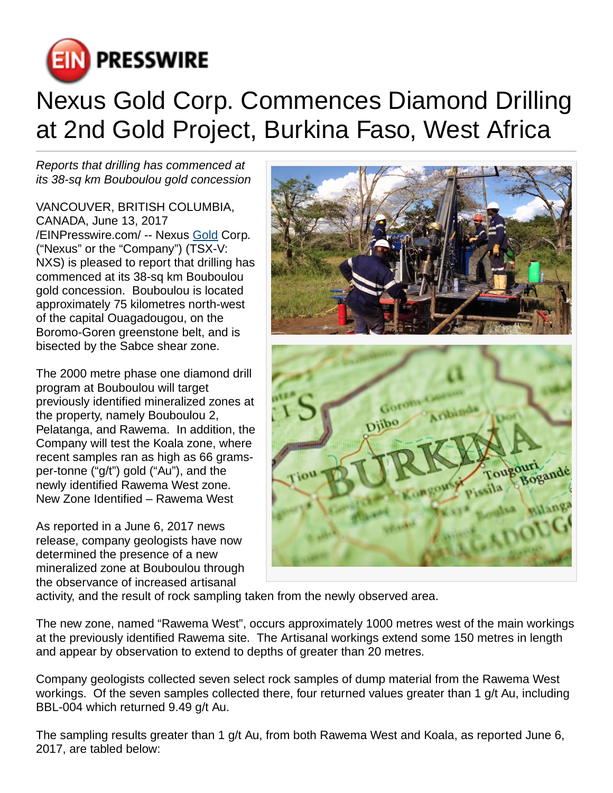

# Nexus Gold Corp. Commences Diamond Drilling at 2nd Gold Project, Burkina Faso, West Africa

Reports that drilling has commenced at its 38-sq km Bouboulou gold concession

VANCOUVER, BRITISH COLUMBIA, CANADA, June 13, 2017 [/EINPresswire.com](http://www.einpresswire.com)/ -- Nexus [Gold](http://www.nexusgoldcorp.com) Corp. ("Nexus" or the "Company") (TSX-V: NXS) is pleased to report that drilling has commenced at its 38-sq km Bouboulou gold concession. Bouboulou is located approximately 75 kilometres north-west of the capital Ouagadougou, on the Boromo-Goren greenstone belt, and is bisected by the Sabce shear zone.

The 2000 metre phase one diamond drill program at Bouboulou will target previously identified mineralized zones at the property, namely Bouboulou 2, Pelatanga, and Rawema. In addition, the Company will test the Koala zone, where recent samples ran as high as 66 gramsper-tonne ("g/t") gold ("Au"), and the newly identified Rawema West zone. New Zone Identified – Rawema West

As reported in a June 6, 2017 news release, company geologists have now determined the presence of a new mineralized zone at Bouboulou through the observance of increased artisanal



activity, and the result of rock sampling taken from the newly observed area.

The new zone, named "Rawema West", occurs approximately 1000 metres west of the main workings at the previously identified Rawema site. The Artisanal workings extend some 150 metres in length and appear by observation to extend to depths of greater than 20 metres.

Company geologists collected seven select rock samples of dump material from the Rawema West workings. Of the seven samples collected there, four returned values greater than 1 g/t Au, including BBL-004 which returned 9.49 g/t Au.

The sampling results greater than 1 g/t Au, from both Rawema West and Koala, as reported June 6, 2017, are tabled below: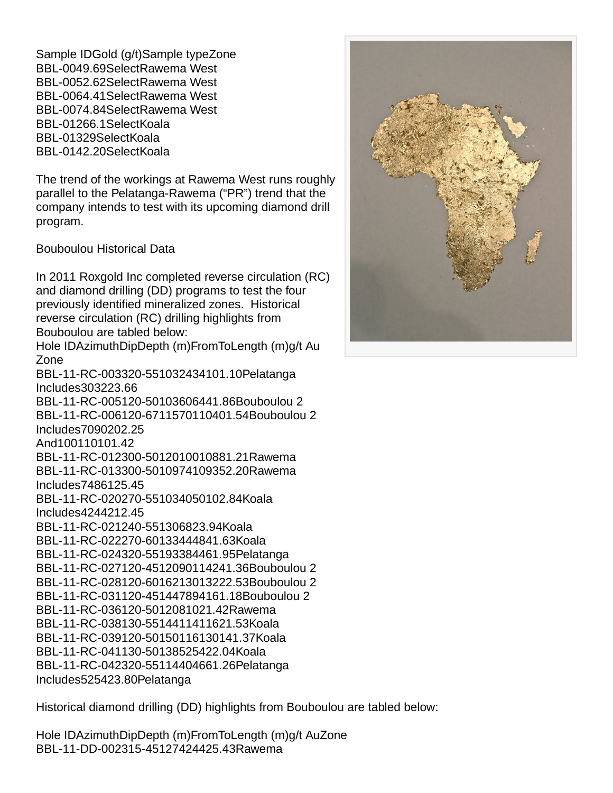Sample ID Gold (g/t) Sample type Zone BBL-004 9.69 Select Rawema West BBL-005 2.62 Select Rawema West BBL-006 4.41 Select Rawema West BBL-007 4.84 Select Rawema West BBL-012 66.1 Select Koala BBL-013 29 Select Koala BBL-014 2.20 Select Koala

The trend of the workings at Rawema West runs roughly parallel to the Pelatanga-Rawema ("PR") trend that the company intends to test with its upcoming diamond drill program.

Bouboulou Historical Data

In 2011 Roxgold Inc completed reverse circulation (RC) and diamond drilling (DD) programs to test the four previously identified mineralized zones. Historical reverse circulation (RC) drilling highlights from Bouboulou are tabled below: Hole ID Azimuth Dip Depth (m) From To Length (m)  $g/t$  Au Zone BBL-11-RC-003 320 -55 103 24 34 10 1.10 Pelatanga Includes 30 32 2 3.66 BBL-11-RC-005 120 -50 103 60 64 4 1.86 Bouboulou 2 BBL-11-RC-006 120 -67 115 70 110 40 1.54 Bouboulou 2 Includes 70 90 20 2.25 And 100 110 10 1.42 BBL-11-RC-012 300 -50 120 100 108 8 1.21 Rawema BBL-11-RC-013 300 -50 109 74 109 35 2.20 Rawema Includes 74 86 12 5.45 BBL-11-RC-020 270 -55 103 40 50 10 2.84 Koala Includes 42 44 2 12.45 BBL-11-RC-021 240 -55 130 6 8 2 3.94 Koala BBL-11-RC-022 270 -60 133 44 48 4 1.63 Koala BBL-11-RC-024 320 -55 193 38 44 6 1.95 Pelatanga BBL-11-RC-027 120 -45 120 90 114 24 1.36 Bouboulou 2 BBL-11-RC-028 120 -60 162 130 132 2 2.53 Bouboulou 2 BBL-11-RC-031 120 -45 144 78 94 16 1.18 Bouboulou 2 BBL-11-RC-036 120 -50 120 8 10 2 1.42 Rawema BBL-11-RC-038 130 -55 144 114 116 2 1.53 Koala BBL-11-RC-039 120 -50 150 116 130 14 1.37 Koala BBL-11-RC-041 130 -50 138 52 54 2 2.04 Koala BBL-11-RC-042 320 -55 114 40 46 6 1.26 Pelatanga Includes 52 54 2 3.80 Pelatanga

Historical diamond drilling (DD) highlights from Bouboulou are tabled below:

Hole ID Azimuth Dip Depth (m) From To Length (m) g/t Au Zone BBL-11-DD-002 315 -45 127 42 44 2 5.43 Rawema